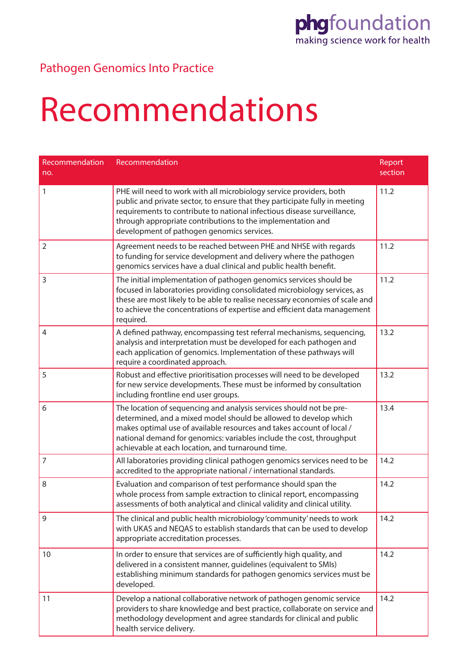#### Pathogen Genomics Into Practice

#### Recommendations

| Recommendation<br>no. | Recommendation                                                                                                                                                                                                                                                                                                                                | Report<br>section |
|-----------------------|-----------------------------------------------------------------------------------------------------------------------------------------------------------------------------------------------------------------------------------------------------------------------------------------------------------------------------------------------|-------------------|
| 1                     | PHE will need to work with all microbiology service providers, both<br>public and private sector, to ensure that they participate fully in meeting<br>requirements to contribute to national infectious disease surveillance,<br>through appropriate contributions to the implementation and<br>development of pathogen genomics services.    | 11.2              |
| $\overline{2}$        | Agreement needs to be reached between PHE and NHSE with regards<br>to funding for service development and delivery where the pathogen<br>genomics services have a dual clinical and public health benefit.                                                                                                                                    | 11.2              |
| 3                     | The initial implementation of pathogen genomics services should be<br>focused in laboratories providing consolidated microbiology services, as<br>these are most likely to be able to realise necessary economies of scale and<br>to achieve the concentrations of expertise and efficient data management<br>required.                       | 11.2              |
| $\overline{4}$        | A defined pathway, encompassing test referral mechanisms, sequencing,<br>analysis and interpretation must be developed for each pathogen and<br>each application of genomics. Implementation of these pathways will<br>require a coordinated approach.                                                                                        | 13.2              |
| 5                     | Robust and effective prioritisation processes will need to be developed<br>for new service developments. These must be informed by consultation<br>including frontline end user groups.                                                                                                                                                       | 13.2              |
| 6                     | The location of sequencing and analysis services should not be pre-<br>determined, and a mixed model should be allowed to develop which<br>makes optimal use of available resources and takes account of local /<br>national demand for genomics: variables include the cost, throughput<br>achievable at each location, and turnaround time. | 13.4              |
| 7                     | All laboratories providing clinical pathogen genomics services need to be<br>accredited to the appropriate national / international standards.                                                                                                                                                                                                | 14.2              |
| 8                     | Evaluation and comparison of test performance should span the<br>whole process from sample extraction to clinical report, encompassing<br>assessments of both analytical and clinical validity and clinical utility.                                                                                                                          | 14.2              |
| 9                     | The clinical and public health microbiology 'community' needs to work<br>with UKAS and NEQAS to establish standards that can be used to develop<br>appropriate accreditation processes.                                                                                                                                                       | 14.2              |
| 10                    | In order to ensure that services are of sufficiently high quality, and<br>delivered in a consistent manner, guidelines (equivalent to SMIs)<br>establishing minimum standards for pathogen genomics services must be<br>developed.                                                                                                            | 14.2              |
| 11                    | Develop a national collaborative network of pathogen genomic service<br>providers to share knowledge and best practice, collaborate on service and<br>methodology development and agree standards for clinical and public<br>health service delivery.                                                                                         | 14.2              |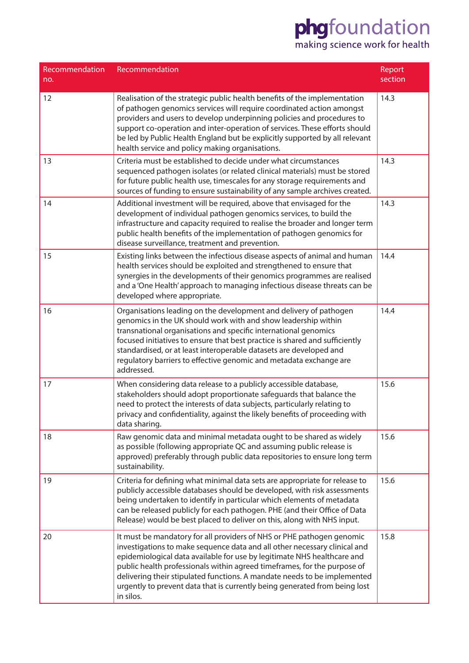| Recommendation<br>no. | Recommendation                                                                                                                                                                                                                                                                                                                                                                                                                                                                   | Report<br>section |
|-----------------------|----------------------------------------------------------------------------------------------------------------------------------------------------------------------------------------------------------------------------------------------------------------------------------------------------------------------------------------------------------------------------------------------------------------------------------------------------------------------------------|-------------------|
| 12                    | Realisation of the strategic public health benefits of the implementation<br>of pathogen genomics services will require coordinated action amongst<br>providers and users to develop underpinning policies and procedures to<br>support co-operation and inter-operation of services. These efforts should<br>be led by Public Health England but be explicitly supported by all relevant<br>health service and policy making organisations.                                     | 14.3              |
| 13                    | Criteria must be established to decide under what circumstances<br>sequenced pathogen isolates (or related clinical materials) must be stored<br>for future public health use, timescales for any storage requirements and<br>sources of funding to ensure sustainability of any sample archives created.                                                                                                                                                                        | 14.3              |
| 14                    | Additional investment will be required, above that envisaged for the<br>development of individual pathogen genomics services, to build the<br>infrastructure and capacity required to realise the broader and longer term<br>public health benefits of the implementation of pathogen genomics for<br>disease surveillance, treatment and prevention.                                                                                                                            | 14.3              |
| 15                    | Existing links between the infectious disease aspects of animal and human<br>health services should be exploited and strengthened to ensure that<br>synergies in the developments of their genomics programmes are realised<br>and a 'One Health' approach to managing infectious disease threats can be<br>developed where appropriate.                                                                                                                                         | 14.4              |
| 16                    | Organisations leading on the development and delivery of pathogen<br>genomics in the UK should work with and show leadership within<br>transnational organisations and specific international genomics<br>focused initiatives to ensure that best practice is shared and sufficiently<br>standardised, or at least interoperable datasets are developed and<br>regulatory barriers to effective genomic and metadata exchange are<br>addressed.                                  | 14.4              |
| 17                    | When considering data release to a publicly accessible database,<br>stakeholders should adopt proportionate safeguards that balance the<br>need to protect the interests of data subjects, particularly relating to<br>privacy and confidentiality, against the likely benefits of proceeding with<br>data sharing.                                                                                                                                                              | 15.6              |
| 18                    | Raw genomic data and minimal metadata ought to be shared as widely<br>as possible (following appropriate QC and assuming public release is<br>approved) preferably through public data repositories to ensure long term<br>sustainability.                                                                                                                                                                                                                                       | 15.6              |
| 19                    | Criteria for defining what minimal data sets are appropriate for release to<br>publicly accessible databases should be developed, with risk assessments<br>being undertaken to identify in particular which elements of metadata<br>can be released publicly for each pathogen. PHE (and their Office of Data<br>Release) would be best placed to deliver on this, along with NHS input.                                                                                         | 15.6              |
| 20                    | It must be mandatory for all providers of NHS or PHE pathogen genomic<br>investigations to make sequence data and all other necessary clinical and<br>epidemiological data available for use by legitimate NHS healthcare and<br>public health professionals within agreed timeframes, for the purpose of<br>delivering their stipulated functions. A mandate needs to be implemented<br>urgently to prevent data that is currently being generated from being lost<br>in silos. | 15.8              |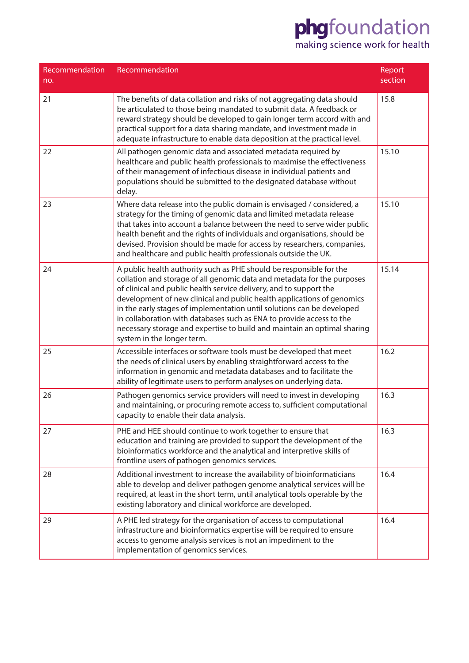| Recommendation<br>no. | Recommendation                                                                                                                                                                                                                                                                                                                                                                                                                                                                                                                                             | Report<br>section |
|-----------------------|------------------------------------------------------------------------------------------------------------------------------------------------------------------------------------------------------------------------------------------------------------------------------------------------------------------------------------------------------------------------------------------------------------------------------------------------------------------------------------------------------------------------------------------------------------|-------------------|
| 21                    | The benefits of data collation and risks of not aggregating data should<br>be articulated to those being mandated to submit data. A feedback or<br>reward strategy should be developed to gain longer term accord with and<br>practical support for a data sharing mandate, and investment made in<br>adequate infrastructure to enable data deposition at the practical level.                                                                                                                                                                            | 15.8              |
| 22                    | All pathogen genomic data and associated metadata required by<br>healthcare and public health professionals to maximise the effectiveness<br>of their management of infectious disease in individual patients and<br>populations should be submitted to the designated database without<br>delay.                                                                                                                                                                                                                                                          | 15.10             |
| 23                    | Where data release into the public domain is envisaged / considered, a<br>strategy for the timing of genomic data and limited metadata release<br>that takes into account a balance between the need to serve wider public<br>health benefit and the rights of individuals and organisations, should be<br>devised. Provision should be made for access by researchers, companies,<br>and healthcare and public health professionals outside the UK.                                                                                                       | 15.10             |
| 24                    | A public health authority such as PHE should be responsible for the<br>collation and storage of all genomic data and metadata for the purposes<br>of clinical and public health service delivery, and to support the<br>development of new clinical and public health applications of genomics<br>in the early stages of implementation until solutions can be developed<br>in collaboration with databases such as ENA to provide access to the<br>necessary storage and expertise to build and maintain an optimal sharing<br>system in the longer term. | 15.14             |
| 25                    | Accessible interfaces or software tools must be developed that meet<br>the needs of clinical users by enabling straightforward access to the<br>information in genomic and metadata databases and to facilitate the<br>ability of legitimate users to perform analyses on underlying data.                                                                                                                                                                                                                                                                 | 16.2              |
| 26                    | Pathogen genomics service providers will need to invest in developing<br>and maintaining, or procuring remote access to, sufficient computational<br>capacity to enable their data analysis.                                                                                                                                                                                                                                                                                                                                                               | 16.3              |
| 27                    | PHE and HEE should continue to work together to ensure that<br>education and training are provided to support the development of the<br>bioinformatics workforce and the analytical and interpretive skills of<br>frontline users of pathogen genomics services.                                                                                                                                                                                                                                                                                           | 16.3              |
| 28                    | Additional investment to increase the availability of bioinformaticians<br>able to develop and deliver pathogen genome analytical services will be<br>required, at least in the short term, until analytical tools operable by the<br>existing laboratory and clinical workforce are developed.                                                                                                                                                                                                                                                            | 16.4              |
| 29                    | A PHE led strategy for the organisation of access to computational<br>infrastructure and bioinformatics expertise will be required to ensure<br>access to genome analysis services is not an impediment to the<br>implementation of genomics services.                                                                                                                                                                                                                                                                                                     | 16.4              |